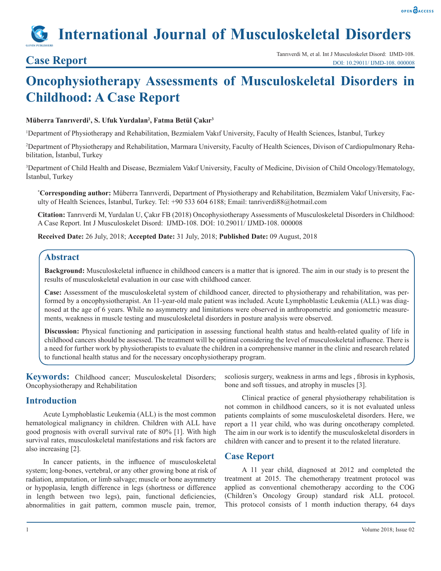

# **International Journal of Musculoskeletal Disorders**

## **Oncophysiotherapy Assessments of Musculoskeletal Disorders in Childhood: A Case Report**

#### **Müberra Tanrıverdi<sup>1</sup> , S. Ufuk Yurdalan2 , Fatma Betül Çakır<sup>3</sup>**

1 Department of Physiotherapy and Rehabilitation, Bezmialem Vakıf University, Faculty of Health Sciences, İstanbul, Turkey

2 Department of Physiotherapy and Rehabilitation, Marmara University, Faculty of Health Sciences, Divison of Cardiopulmonary Rehabilitation, İstanbul, Turkey

3 Department of Child Health and Disease, Bezmialem Vakıf University, Faculty of Medicine, Division of Child Oncology/Hematology, İstanbul, Turkey

**\* Corresponding author:** Müberra Tanrıverdi, Department of Physiotherapy and Rehabilitation, Bezmialem Vakıf University, Faculty of Health Sciences, İstanbul, Turkey. Tel: +90 533 604 6188; Email: tanriverdi88@hotmail.com

**Citation:** Tanrıverdi M, Yurdalan U, Çakır FB (2018) Oncophysiotherapy Assessments of Musculoskeletal Disorders in Childhood: A Case Report. Int J Musculoskelet Disord: IJMD-108. DOI: 10.29011/ IJMD-108. 000008

**Received Date:** 26 July, 2018; **Accepted Date:** 31 July, 2018; **Published Date:** 09 August, 2018

### **Abstract**

**Background:** Musculoskeletal influence in childhood cancers is a matter that is ignored. The aim in our study is to present the results of musculoskeletal evaluation in our case with childhood cancer.

**Case:** Assessment of the musculoskeletal system of childhood cancer, directed to physiotherapy and rehabilitation, was performed by a oncophysiotherapist. An 11-year-old male patient was included. Acute Lymphoblastic Leukemia (ALL) was diagnosed at the age of 6 years. While no asymmetry and limitations were observed in anthropometric and goniometric measurements, weakness in muscle testing and musculoskeletal disorders in posture analysis were observed.

**Discussion:** Physical functioning and participation in assessing functional health status and health-related quality of life in childhood cancers should be assessed. The treatment will be optimal considering the level of musculoskeletal influence. There is a need for further work by physiotherapists to evaluate the children in a comprehensive manner in the clinic and research related to functional health status and for the necessary oncophysiotherapy program.

Keywords: Childhood cancer; Musculoskeletal Disorders; Oncophysiotherapy and Rehabilitation

### **Introduction**

Acute Lymphoblastic Leukemia (ALL) is the most common hematological malignancy in children. Children with ALL have good prognosis with overall survival rate of 80% [1]. With high survival rates, musculoskeletal manifestations and risk factors are also increasing [2].

In cancer patients, in the influence of musculoskeletal system; long-bones, vertebral, or any other growing bone at risk of radiation, amputation, or limb salvage; muscle or bone asymmetry or hypoplasia, length difference in legs (shortness or difference in length between two legs), pain, functional deficiencies, abnormalities in gait pattern, common muscle pain, tremor, scoliosis surgery, weakness in arms and legs , fibrosis in kyphosis, bone and soft tissues, and atrophy in muscles [3].

Clinical practice of general physiotherapy rehabilitation is not common in childhood cancers, so it is not evaluated unless patients complaints of some musculoskeletal disorders. Here, we report a 11 year child, who was during oncotherapy completed. The aim in our work is to identify the musculoskeletal disorders in children with cancer and to present it to the related literature.

### **Case Report**

A 11 year child, diagnosed at 2012 and completed the treatment at 2015. The chemotherapy treatment protocol was applied as conventional chemotherapy according to the COG (Children's Oncology Group) standard risk ALL protocol. This protocol consists of 1 month induction therapy, 64 days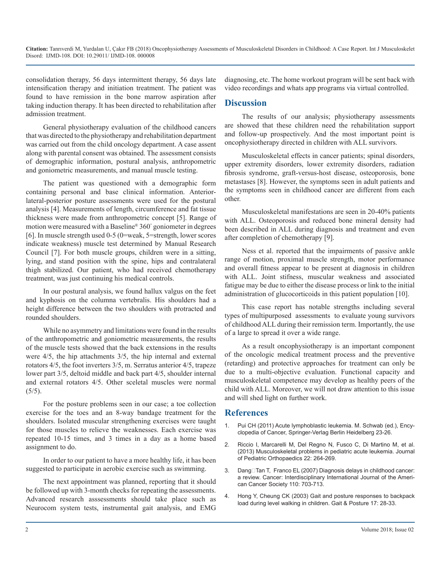**Citation:** Tanrıverdi M, Yurdalan U, Çakır FB (2018) Oncophysiotherapy Assessments of Musculoskeletal Disorders in Childhood: A Case Report. Int J Musculoskelet Disord: IJMD-108. DOI: 10.29011/ IJMD-108. 000008

consolidation therapy, 56 days intermittent therapy, 56 days late intensification therapy and initiation treatment. The patient was found to have remission in the bone marrow aspiration after taking induction therapy. It has been directed to rehabilitation after admission treatment.

General physiotherapy evaluation of the childhood cancers that was directed to the physiotherapy and rehabilitation department was carried out from the child oncology department. A case assent along with parental consent was obtained. The assessment consists of demographic information, postural analysis, anthropometric and goniometric measurements, and manual muscle testing.

The patient was questioned with a demographic form containing personal and base clinical information. Anteriorlateral-posterior posture assessments were used for the postural analysis [4]. Measurements of length, circumference and fat tissue thickness were made from anthropometric concept [5]. Range of motion were measured with a Baseline® 360° goniometer in degrees [6]. In muscle strength used 0-5 (0=weak, 5=strength, lower scores indicate weakness) muscle test determined by Manual Research Council [7]. For both muscle groups, children were in a sitting, lying, and stand position with the spine, hips and contralateral thigh stabilized. Our patient, who had received chemotherapy treatment, was just continuing his medical controls.

In our postural analysis, we found hallux valgus on the feet and kyphosis on the columna vertebralis. His shoulders had a height difference between the two shoulders with protracted and rounded shoulders.

While no asymmetry and limitations were found in the results of the anthropometric and goniometric measurements, the results of the muscle tests showed that the back extensions in the results were 4/5, the hip attachments 3/5, the hip internal and external rotators 4/5, the foot inverters 3/5, m. Serratus anterior 4/5, trapeze lower part 3/5, deltoid middle and back part 4/5, shoulder internal and external rotators 4/5. Other sceletal muscles were normal  $(5/5)$ .

For the posture problems seen in our case; a toe collection exercise for the toes and an 8-way bandage treatment for the shoulders. Isolated muscular strengthening exercises were taught for those muscles to relieve the weaknesses. Each exercise was repeated 10-15 times, and 3 times in a day as a home based assignment to do.

In order to our patient to have a more healthy life, it has been suggested to participate in aerobic exercise such as swimming.

The next appointment was planned, reporting that it should be followed up with 3-month checks for repeating the assessments. Advanced research asssessments should take place such as Neurocom system tests, instrumental gait analysis, and EMG diagnosing, etc. The home workout program will be sent back with video recordings and whats app programs via virtual controlled.

#### **Discussion**

The results of our analysis; physiotherapy assessments are showed that these children need the rehabilitation support and follow-up prospectively. And the most important point is oncophysiotherapy directed in children with ALL survivors.

Musculoskeletal effects in cancer patients; spinal disorders, upper extremity disorders, lower extremity disorders, radiation fibrosis syndrome, graft-versus-host disease, osteoporosis, bone metastases [8]. However, the symptoms seen in adult patients and the symptoms seen in childhood cancer are different from each other.

Musculoskeletal manifestations are seen in 20-40% patients with ALL. Osteoporosis and reduced bone mineral density had been described in ALL during diagnosis and treatment and even after completion of chemotherapy [9].

Ness et al. reported that the impairments of passive ankle range of motion, proximal muscle strength, motor performance and overall fitness appear to be present at diagnosis in children with ALL. Joint stifness, muscular weakness and associated fatigue may be due to either the disease process or link to the initial administration of glucocorticoids in this patient population [10].

This case report has notable strengths including several types of multipurposed assessments to evaluate young survivors of childhood ALL during their remission term. Importantly, the use of a large to spread it over a wide range.

As a result oncophysiotherapy is an important component of the oncologic medical treatment process and the preventive (retarding) and protective approaches for treatment can only be due to a multi-objective evaluation. Functional capacity and musculoskeletal competence may develop as healthy peers of the child with ALL. Moreover, we will not draw attention to this issue and will shed light on further work.

#### **References**

- 1. Pui CH (2011) Acute lymphoblastic leukemia. M. Schwab (ed.), Encyclopedia of Cancer, Springer-Verlag Berlin Heidelberg 23-26.
- 2. [Riccio I, Marcarelli M, Del Regno N, Fusco C, Di Martino M, et al.](https://www.ncbi.nlm.nih.gov/pubmed/23407432)  (2013) Musculoskeletal problems in pediatric acute leukemia. Journal [of Pediatric Orthopaedics 22: 264-269.](https://www.ncbi.nlm.nih.gov/pubmed/23407432)
- 3. Dang□Tan T, Franco EL (2007) Diagnosis delays in childhood cancer: a review. Cancer: Interdisciplinary International Journal of the Ameri[can Cancer Society 110: 703-713](https://www.ncbi.nlm.nih.gov/pubmed/17620277).
- 4. [Hong Y, Cheung CK \(2003\) Gait and posture responses to backpack](https://www.ncbi.nlm.nih.gov/pubmed/12535723)  load during level walking in children. Gait & Posture 17: 28-33.